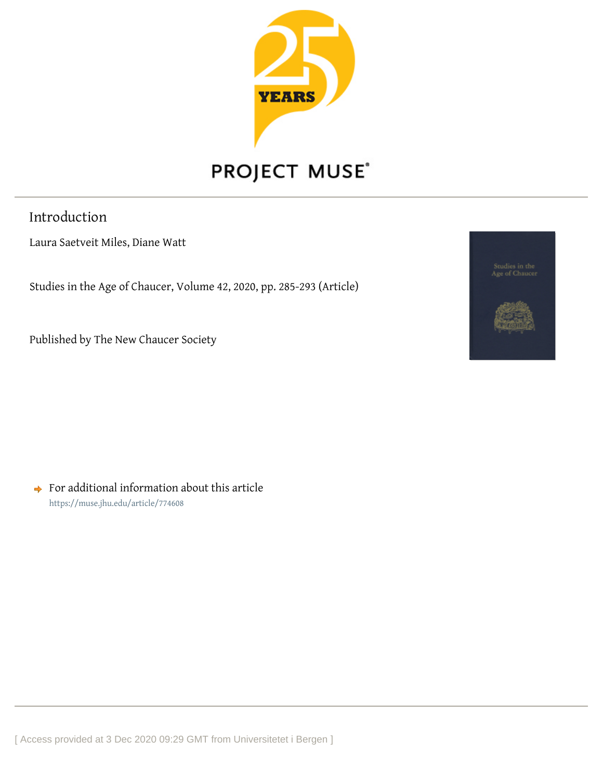

## PROJECT MUSE®

Introduction

Laura Saetveit Miles, Diane Watt

Studies in the Age of Chaucer, Volume 42, 2020, pp. 285-293 (Article)

Published by The New Chaucer Society



 $\rightarrow$  For additional information about this article <https://muse.jhu.edu/article/774608>

[ Access provided at 3 Dec 2020 09:29 GMT from Universitetet i Bergen ]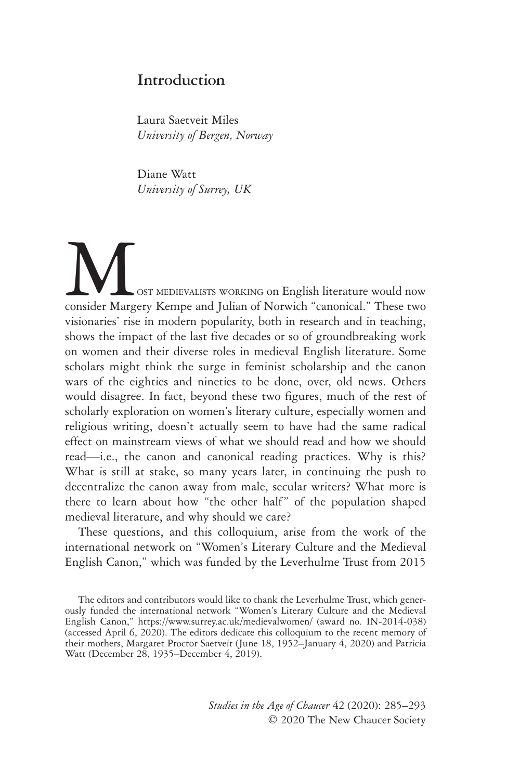## **Introduction**

Laura Saetveit Miles *University of Bergen, Norway*

Diane Watt *University of Surrey, UK*

WWW OST MEDIEVALISTS WORKING ON English literature would now consider Margery Kempe and Julian of Norwich "canonical." These two visionaries' rise in modern popularity, both in research and in teaching, shows the impact of the last five decades or so of groundbreaking work on women and their diverse roles in medieval English literature. Some scholars might think the surge in feminist scholarship and the canon wars of the eighties and nineties to be done, over, old news. Others would disagree. In fact, beyond these two figures, much of the rest of scholarly exploration on women's literary culture, especially women and religious writing, doesn't actually seem to have had the same radical effect on mainstream views of what we should read and how we should read—i.e., the canon and canonical reading practices. Why is this? What is still at stake, so many years later, in continuing the push to decentralize the canon away from male, secular writers? What more is there to learn about how "the other half" of the population shaped medieval literature, and why should we care?

These questions, and this colloquium, arise from the work of the international network on "Women's Literary Culture and the Medieval English Canon," which was funded by the Leverhulme Trust from 2015

The editors and contributors would like to thank the Leverhulme Trust, which generously funded the international network "Women's Literary Culture and the Medieval English Canon," https://www.surrey.ac.uk/medievalwomen/ (award no. IN-2014-038) (accessed April 6, 2020). The editors dedicate this colloquium to the recent memory of their mothers, Margaret Proctor Saetveit (June 18, 1952–January 4, 2020) and Patricia Watt (December 28, 1935–December 4, 2019).

> *Studies in the Age of Chaucer* 42 (2020): 285–293 © 2020 The New Chaucer Society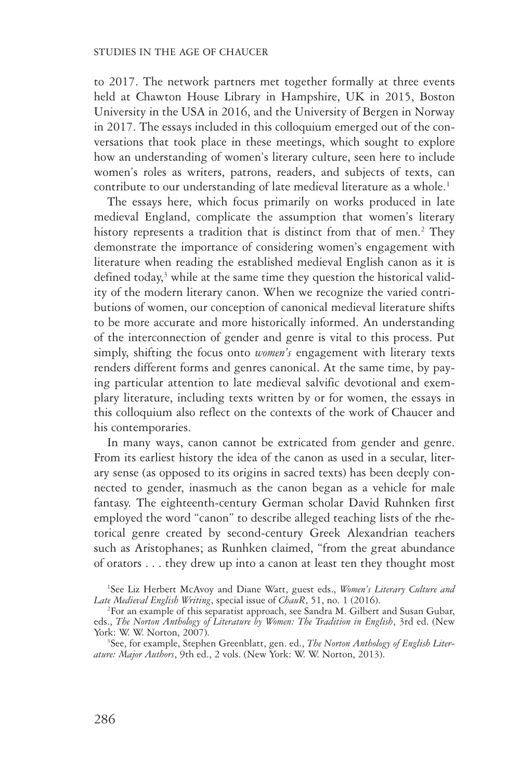to 2017. The network partners met together formally at three events held at Chawton House Library in Hampshire, UK in 2015, Boston University in the USA in 2016, and the University of Bergen in Norway in 2017. The essays included in this colloquium emerged out of the conversations that took place in these meetings, which sought to explore how an understanding of women's literary culture, seen here to include women's roles as writers, patrons, readers, and subjects of texts, can contribute to our understanding of late medieval literature as a whole.<sup>1</sup>

The essays here, which focus primarily on works produced in late medieval England, complicate the assumption that women's literary history represents a tradition that is distinct from that of men.<sup>2</sup> They demonstrate the importance of considering women's engagement with literature when reading the established medieval English canon as it is defined today,<sup>3</sup> while at the same time they question the historical validity of the modern literary canon. When we recognize the varied contributions of women, our conception of canonical medieval literature shifts to be more accurate and more historically informed. An understanding of the interconnection of gender and genre is vital to this process. Put simply, shifting the focus onto *women's* engagement with literary texts renders different forms and genres canonical. At the same time, by paying particular attention to late medieval salvific devotional and exemplary literature, including texts written by or for women, the essays in this colloquium also reflect on the contexts of the work of Chaucer and his contemporaries.

In many ways, canon cannot be extricated from gender and genre. From its earliest history the idea of the canon as used in a secular, literary sense (as opposed to its origins in sacred texts) has been deeply connected to gender, inasmuch as the canon began as a vehicle for male fantasy. The eighteenth-century German scholar David Ruhnken first employed the word "canon" to describe alleged teaching lists of the rhetorical genre created by second-century Greek Alexandrian teachers such as Aristophanes; as Runhken claimed, "from the great abundance of orators . . . they drew up into a canon at least ten they thought most

<sup>1</sup>See Liz Herbert McAvoy and Diane Watt, guest eds., *Women's Literary Culture and Late Medieval English Writing*, special issue of *ChauR*, 51, no. 1 (2016). <sup>2</sup>

<sup>&</sup>lt;sup>2</sup>For an example of this separatist approach, see Sandra M. Gilbert and Susan Gubar, eds., *The Norton Anthology of Literature by Women: The Tradition in English*, 3rd ed. (New York: W. W. Norton, 2007).

See, for example, Stephen Greenblatt, gen. ed., *The Norton Anthology of English Literature: Major Authors*, 9th ed., 2 vols. (New York: W. W. Norton, 2013).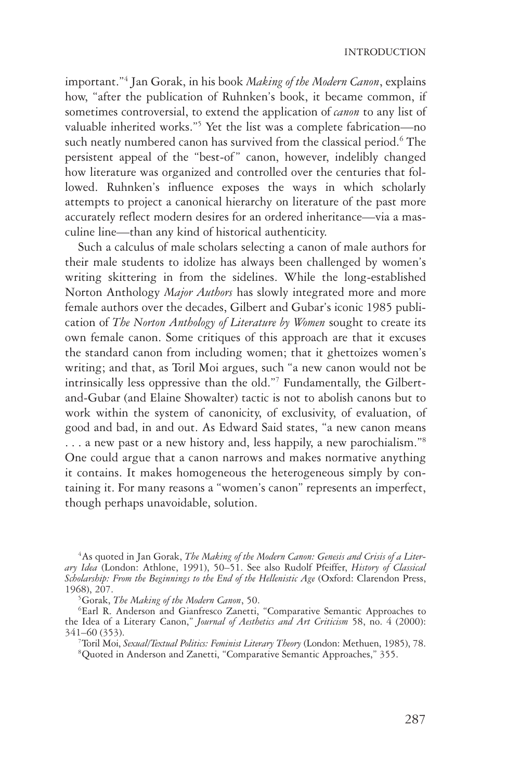important."4 Jan Gorak, in his book *Making of the Modern Canon*, explains how, "after the publication of Ruhnken's book, it became common, if sometimes controversial, to extend the application of *canon* to any list of valuable inherited works."5 Yet the list was a complete fabrication—no such neatly numbered canon has survived from the classical period.<sup>6</sup> The persistent appeal of the "best-of" canon, however, indelibly changed how literature was organized and controlled over the centuries that followed. Ruhnken's influence exposes the ways in which scholarly attempts to project a canonical hierarchy on literature of the past more accurately reflect modern desires for an ordered inheritance—via a masculine line—than any kind of historical authenticity.

Such a calculus of male scholars selecting a canon of male authors for their male students to idolize has always been challenged by women's writing skittering in from the sidelines. While the long-established Norton Anthology *Major Authors* has slowly integrated more and more female authors over the decades, Gilbert and Gubar's iconic 1985 publication of *The Norton Anthology of Literature by Women* sought to create its own female canon. Some critiques of this approach are that it excuses the standard canon from including women; that it ghettoizes women's writing; and that, as Toril Moi argues, such "a new canon would not be intrinsically less oppressive than the old."7 Fundamentally, the Gilbert-and-Gubar (and Elaine Showalter) tactic is not to abolish canons but to work within the system of canonicity, of exclusivity, of evaluation, of good and bad, in and out. As Edward Said states, "a new canon means ... a new past or a new history and, less happily, a new parochialism."<sup>8</sup> One could argue that a canon narrows and makes normative anything it contains. It makes homogeneous the heterogeneous simply by containing it. For many reasons a "women's canon" represents an imperfect, though perhaps unavoidable, solution.

<sup>4</sup> As quoted in Jan Gorak, *The Making of the Modern Canon: Genesis and Crisis of a Literary Idea* (London: Athlone, 1991), 50–51. See also Rudolf Pfeiffer, *History of Classical Scholarship: From the Beginnings to the End of the Hellenistic Age* (Oxford: Clarendon Press, 1968), 207. <sup>5</sup>

Gorak, *The Making of the Modern Canon*, 50. <sup>6</sup>

Earl R. Anderson and Gianfresco Zanetti, "Comparative Semantic Approaches to the Idea of a Literary Canon," *Journal of Aesthetics and Art Criticism* 58, no. 4 (2000): 341–60 (353). <sup>7</sup>

<sup>7</sup>Toril Moi, *Sexual/Textual Politics: Feminist Literary Theory* (London: Methuen, 1985), 78. Quoted in Anderson and Zanetti, "Comparative Semantic Approaches," 355.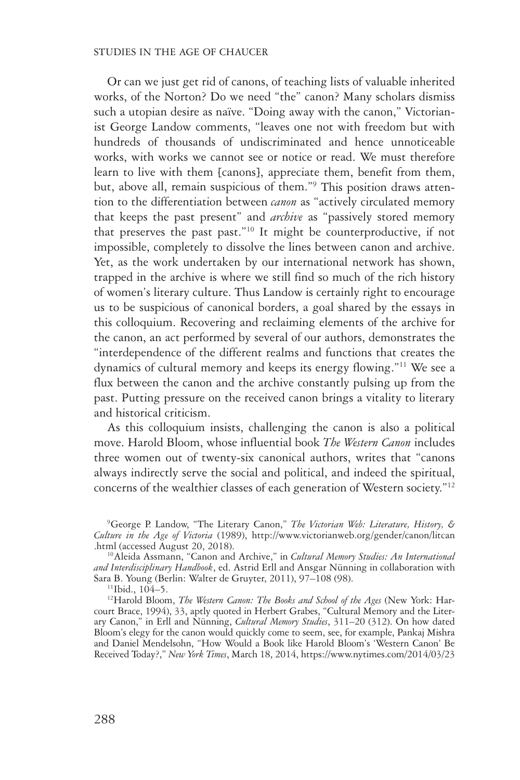## STUDIES IN THE AGE OF CHAUCER

Or can we just get rid of canons, of teaching lists of valuable inherited works, of the Norton? Do we need "the" canon? Many scholars dismiss such a utopian desire as naïve. "Doing away with the canon," Victorianist George Landow comments, "leaves one not with freedom but with hundreds of thousands of undiscriminated and hence unnoticeable works, with works we cannot see or notice or read. We must therefore learn to live with them [canons], appreciate them, benefit from them, but, above all, remain suspicious of them."9 This position draws attention to the differentiation between *canon* as "actively circulated memory that keeps the past present" and *archive* as "passively stored memory that preserves the past past."10 It might be counterproductive, if not impossible, completely to dissolve the lines between canon and archive. Yet, as the work undertaken by our international network has shown, trapped in the archive is where we still find so much of the rich history of women's literary culture. Thus Landow is certainly right to encourage us to be suspicious of canonical borders, a goal shared by the essays in this colloquium. Recovering and reclaiming elements of the archive for the canon, an act performed by several of our authors, demonstrates the "interdependence of the different realms and functions that creates the dynamics of cultural memory and keeps its energy flowing."11 We see a flux between the canon and the archive constantly pulsing up from the past. Putting pressure on the received canon brings a vitality to literary and historical criticism.

As this colloquium insists, challenging the canon is also a political move. Harold Bloom, whose influential book *The Western Canon* includes three women out of twenty-six canonical authors, writes that "canons always indirectly serve the social and political, and indeed the spiritual, concerns of the wealthier classes of each generation of Western society."12

<sup>12</sup>Harold Bloom, *The Western Canon: The Books and School of the Ages* (New York: Harcourt Brace, 1994), 33, aptly quoted in Herbert Grabes, "Cultural Memory and the Literary Canon," in Erll and Nünning, *Cultural Memory Studies*, 311–20 (312). On how dated Bloom's elegy for the canon would quickly come to seem, see, for example, Pankaj Mishra and Daniel Mendelsohn, "How Would a Book like Harold Bloom's 'Western Canon' Be Received Today?," *New York Times*, March 18, 2014, https://www.nytimes.com/2014/03/23

<sup>9</sup> George P. Landow, "The Literary Canon," *The Victorian Web: Literature, History, & Culture in the Age of Victoria* (1989), http://www.victorianweb.org/gender/canon/litcan

<sup>&</sup>lt;sup>10</sup> Aleida Assmann, "Canon and Archive," in *Cultural Memory Studies: An International and Interdisciplinary Handbook*, ed. Astrid Erll and Ansgar Nünning in collaboration with Sara B. Young (Berlin: Walter de Gruyter, 2011), 97–108 (98). 11Ibid., 104–5.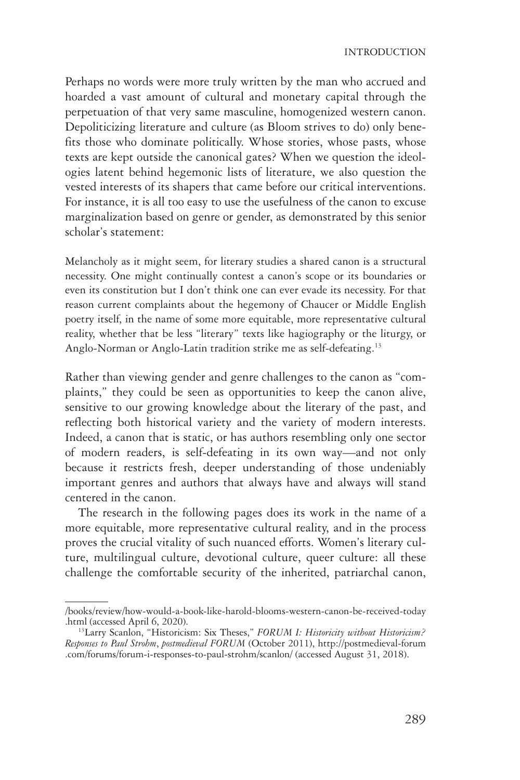Perhaps no words were more truly written by the man who accrued and hoarded a vast amount of cultural and monetary capital through the perpetuation of that very same masculine, homogenized western canon. Depoliticizing literature and culture (as Bloom strives to do) only benefits those who dominate politically. Whose stories, whose pasts, whose texts are kept outside the canonical gates? When we question the ideologies latent behind hegemonic lists of literature, we also question the vested interests of its shapers that came before our critical interventions. For instance, it is all too easy to use the usefulness of the canon to excuse marginalization based on genre or gender, as demonstrated by this senior scholar's statement:

Melancholy as it might seem, for literary studies a shared canon is a structural necessity. One might continually contest a canon's scope or its boundaries or even its constitution but I don't think one can ever evade its necessity. For that reason current complaints about the hegemony of Chaucer or Middle English poetry itself, in the name of some more equitable, more representative cultural reality, whether that be less "literary" texts like hagiography or the liturgy, or Anglo-Norman or Anglo-Latin tradition strike me as self-defeating.13

Rather than viewing gender and genre challenges to the canon as "complaints," they could be seen as opportunities to keep the canon alive, sensitive to our growing knowledge about the literary of the past, and reflecting both historical variety and the variety of modern interests. Indeed, a canon that is static, or has authors resembling only one sector of modern readers, is self-defeating in its own way—and not only because it restricts fresh, deeper understanding of those undeniably important genres and authors that always have and always will stand centered in the canon.

The research in the following pages does its work in the name of a more equitable, more representative cultural reality, and in the process proves the crucial vitality of such nuanced efforts. Women's literary culture, multilingual culture, devotional culture, queer culture: all these challenge the comfortable security of the inherited, patriarchal canon,

<sup>/</sup>books/review/how-would-a-book-like-harold-blooms-western-canon-be-received-today .html (accessed April 6, 2020). 13Larry Scanlon, "Historicism: Six Theses," *FORUM I: Historicity without Historicism?* 

*Responses to Paul Strohm*, *postmedieval FORUM* (October 2011), http://postmedieval-forum .com/forums/forum-i-responses-to-paul-strohm/scanlon/ (accessed August 31, 2018).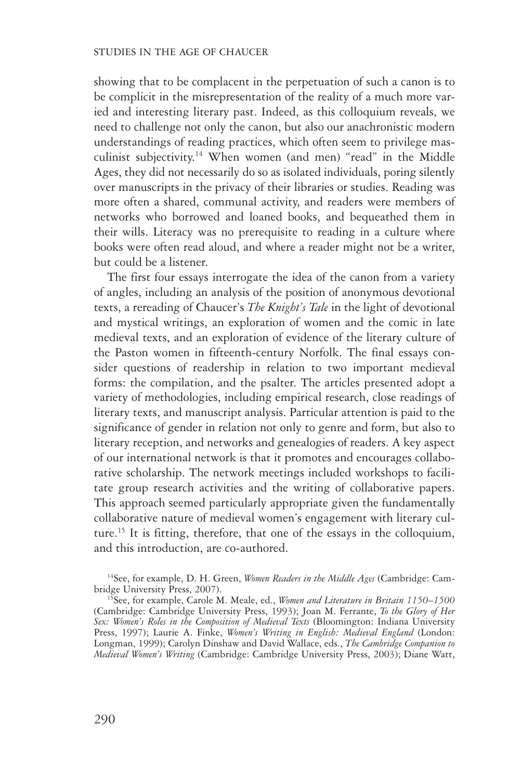showing that to be complacent in the perpetuation of such a canon is to be complicit in the misrepresentation of the reality of a much more varied and interesting literary past. Indeed, as this colloquium reveals, we need to challenge not only the canon, but also our anachronistic modern understandings of reading practices, which often seem to privilege masculinist subjectivity.<sup>14</sup> When women (and men) "read" in the Middle Ages, they did not necessarily do so as isolated individuals, poring silently over manuscripts in the privacy of their libraries or studies. Reading was more often a shared, communal activity, and readers were members of networks who borrowed and loaned books, and bequeathed them in their wills. Literacy was no prerequisite to reading in a culture where books were often read aloud, and where a reader might not be a writer, but could be a listener.

The first four essays interrogate the idea of the canon from a variety of angles, including an analysis of the position of anonymous devotional texts, a rereading of Chaucer's *The Knight's Tale* in the light of devotional and mystical writings, an exploration of women and the comic in late medieval texts, and an exploration of evidence of the literary culture of the Paston women in fifteenth-century Norfolk. The final essays consider questions of readership in relation to two important medieval forms: the compilation, and the psalter. The articles presented adopt a variety of methodologies, including empirical research, close readings of literary texts, and manuscript analysis. Particular attention is paid to the significance of gender in relation not only to genre and form, but also to literary reception, and networks and genealogies of readers. A key aspect of our international network is that it promotes and encourages collaborative scholarship. The network meetings included workshops to facilitate group research activities and the writing of collaborative papers. This approach seemed particularly appropriate given the fundamentally collaborative nature of medieval women's engagement with literary culture.15 It is fitting, therefore, that one of the essays in the colloquium, and this introduction, are co-authored.

<sup>14</sup>See, for example, D. H. Green, *Women Readers in the Middle Ages* (Cambridge: Cam-<br>bridge University Press, 2007).

<sup>15</sup>See, for example, Carole M. Meale, ed., *Women and Literature in Britain 1150–1500* (Cambridge: Cambridge University Press, 1993); Joan M. Ferrante, *To the Glory of Her Sex: Women's Roles in the Composition of Medieval Texts* (Bloomington: Indiana University Press, 1997); Laurie A. Finke, *Women's Writing in English: Medieval England* (London: Longman, 1999); Carolyn Dinshaw and David Wallace, eds., *The Cambridge Companion to Medieval Women's Writing* (Cambridge: Cambridge University Press, 2003); Diane Watt,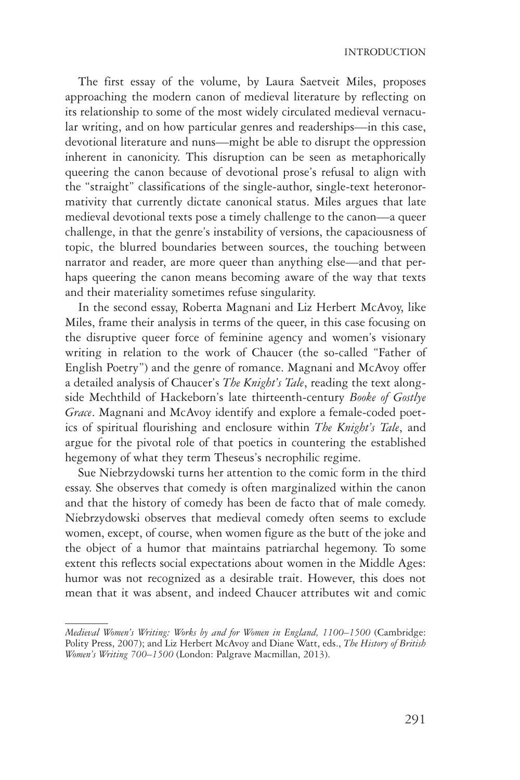The first essay of the volume, by Laura Saetveit Miles, proposes approaching the modern canon of medieval literature by reflecting on its relationship to some of the most widely circulated medieval vernacular writing, and on how particular genres and readerships—in this case, devotional literature and nuns—might be able to disrupt the oppression inherent in canonicity. This disruption can be seen as metaphorically queering the canon because of devotional prose's refusal to align with the "straight" classifications of the single-author, single-text heteronormativity that currently dictate canonical status. Miles argues that late medieval devotional texts pose a timely challenge to the canon—a queer challenge, in that the genre's instability of versions, the capaciousness of topic, the blurred boundaries between sources, the touching between narrator and reader, are more queer than anything else—and that perhaps queering the canon means becoming aware of the way that texts and their materiality sometimes refuse singularity.

In the second essay, Roberta Magnani and Liz Herbert McAvoy, like Miles, frame their analysis in terms of the queer, in this case focusing on the disruptive queer force of feminine agency and women's visionary writing in relation to the work of Chaucer (the so-called "Father of English Poetry") and the genre of romance. Magnani and McAvoy offer a detailed analysis of Chaucer's *The Knight's Tale*, reading the text alongside Mechthild of Hackeborn's late thirteenth-century *Booke of Gostlye Grace*. Magnani and McAvoy identify and explore a female-coded poetics of spiritual flourishing and enclosure within *The Knight's Tale*, and argue for the pivotal role of that poetics in countering the established hegemony of what they term Theseus's necrophilic regime.

Sue Niebrzydowski turns her attention to the comic form in the third essay. She observes that comedy is often marginalized within the canon and that the history of comedy has been de facto that of male comedy. Niebrzydowski observes that medieval comedy often seems to exclude women, except, of course, when women figure as the butt of the joke and the object of a humor that maintains patriarchal hegemony. To some extent this reflects social expectations about women in the Middle Ages: humor was not recognized as a desirable trait. However, this does not mean that it was absent, and indeed Chaucer attributes wit and comic

*Medieval Women's Writing: Works by and for Women in England, 1100–1500* (Cambridge: Polity Press, 2007); and Liz Herbert McAvoy and Diane Watt, eds., *The History of British Women's Writing 700–1500* (London: Palgrave Macmillan, 2013).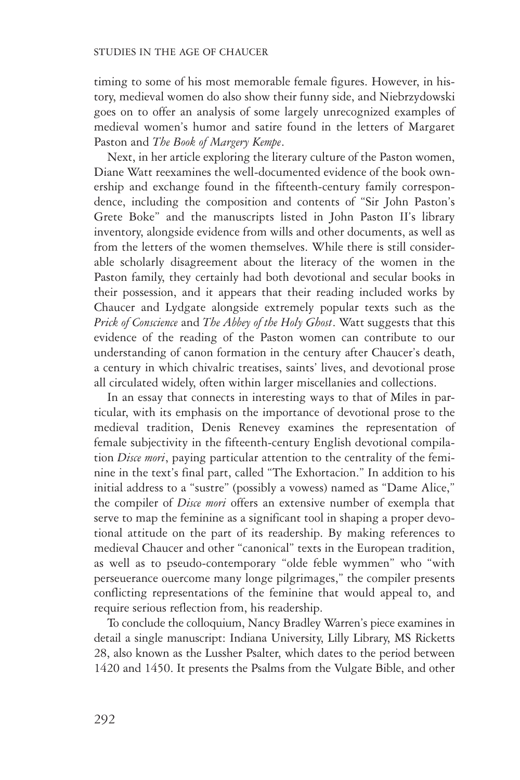timing to some of his most memorable female figures. However, in history, medieval women do also show their funny side, and Niebrzydowski goes on to offer an analysis of some largely unrecognized examples of medieval women's humor and satire found in the letters of Margaret Paston and *The Book of Margery Kempe*.

Next, in her article exploring the literary culture of the Paston women, Diane Watt reexamines the well-documented evidence of the book ownership and exchange found in the fifteenth-century family correspondence, including the composition and contents of "Sir John Paston's Grete Boke" and the manuscripts listed in John Paston II's library inventory, alongside evidence from wills and other documents, as well as from the letters of the women themselves. While there is still considerable scholarly disagreement about the literacy of the women in the Paston family, they certainly had both devotional and secular books in their possession, and it appears that their reading included works by Chaucer and Lydgate alongside extremely popular texts such as the *Prick of Conscience* and *The Abbey of the Holy Ghost*. Watt suggests that this evidence of the reading of the Paston women can contribute to our understanding of canon formation in the century after Chaucer's death, a century in which chivalric treatises, saints' lives, and devotional prose all circulated widely, often within larger miscellanies and collections.

In an essay that connects in interesting ways to that of Miles in particular, with its emphasis on the importance of devotional prose to the medieval tradition, Denis Renevey examines the representation of female subjectivity in the fifteenth-century English devotional compilation *Disce mori*, paying particular attention to the centrality of the feminine in the text's final part, called "The Exhortacion." In addition to his initial address to a "sustre" (possibly a vowess) named as "Dame Alice," the compiler of *Disce mori* offers an extensive number of exempla that serve to map the feminine as a significant tool in shaping a proper devotional attitude on the part of its readership. By making references to medieval Chaucer and other "canonical" texts in the European tradition, as well as to pseudo-contemporary "olde feble wymmen" who "with perseuerance ouercome many longe pilgrimages," the compiler presents conflicting representations of the feminine that would appeal to, and require serious reflection from, his readership.

To conclude the colloquium, Nancy Bradley Warren's piece examines in detail a single manuscript: Indiana University, Lilly Library, MS Ricketts 28, also known as the Lussher Psalter, which dates to the period between 1420 and 1450. It presents the Psalms from the Vulgate Bible, and other